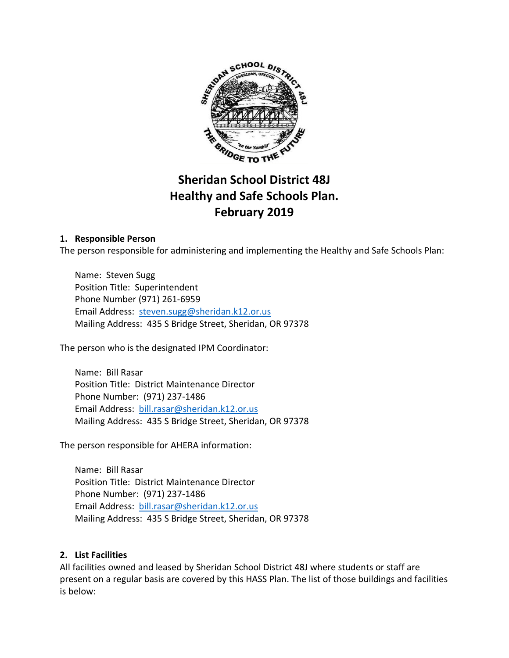

# **Sheridan School District 48J Healthy and Safe Schools Plan. February 2019**

## **1. Responsible Person**

The person responsible for administering and implementing the Healthy and Safe Schools Plan:

Name: Steven Sugg Position Title: Superintendent Phone Number (971) 261-6959 Email Address: [steven.sugg@sheridan.k12.or.us](mailto:steven.sugg@sheridan.k12.or.us) Mailing Address: 435 S Bridge Street, Sheridan, OR 97378

The person who is the designated IPM Coordinator:

Name: Bill Rasar Position Title: District Maintenance Director Phone Number: (971) 237-1486 Email Address: [bill.rasar@sheridan.k12.or.us](mailto:bill.rasar@sheridan.k12.or.us) Mailing Address: 435 S Bridge Street, Sheridan, OR 97378

The person responsible for AHERA information:

Name: Bill Rasar Position Title: District Maintenance Director Phone Number: (971) 237-1486 Email Address: [bill.rasar@sheridan.k12.or.us](mailto:bill.rasar@sheridan.k12.or.us) Mailing Address: 435 S Bridge Street, Sheridan, OR 97378

#### **2. List Facilities**

All facilities owned and leased by Sheridan School District 48J where students or staff are present on a regular basis are covered by this HASS Plan. The list of those buildings and facilities is below: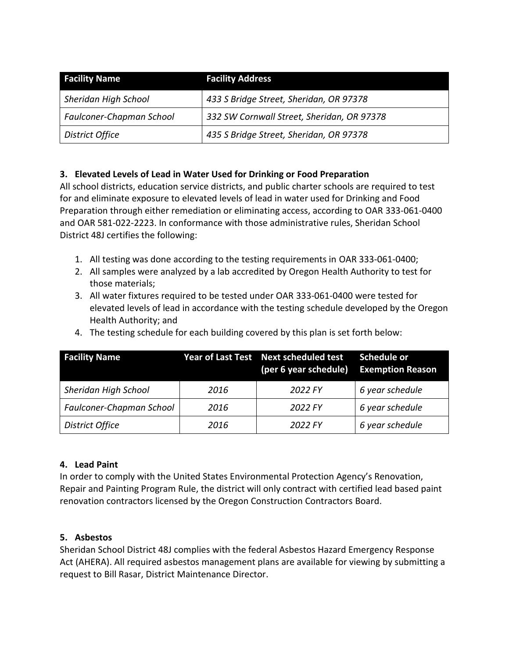| <b>Facility Name</b>     | <b>Facility Address</b>                    |
|--------------------------|--------------------------------------------|
| Sheridan High School     | 433 S Bridge Street, Sheridan, OR 97378    |
| Faulconer-Chapman School | 332 SW Cornwall Street, Sheridan, OR 97378 |
| District Office          | 435 S Bridge Street, Sheridan, OR 97378    |

# **3. Elevated Levels of Lead in Water Used for Drinking or Food Preparation**

All school districts, education service districts, and public charter schools are required to test for and eliminate exposure to elevated levels of lead in water used for Drinking and Food Preparation through either remediation or eliminating access, according to OAR 333-061-0400 and OAR 581-022-2223. In conformance with those administrative rules, Sheridan School District 48J certifies the following:

- 1. All testing was done according to the testing requirements in OAR 333-061-0400;
- 2. All samples were analyzed by a lab accredited by Oregon Health Authority to test for those materials;
- 3. All water fixtures required to be tested under OAR 333-061-0400 were tested for elevated levels of lead in accordance with the testing schedule developed by the Oregon Health Authority; and

|  |  |  | 4. The testing schedule for each building covered by this plan is set forth below: |  |
|--|--|--|------------------------------------------------------------------------------------|--|
|--|--|--|------------------------------------------------------------------------------------|--|

| <b>Facility Name</b>     |      | Year of Last Test Next scheduled test<br>(per 6 year schedule) Exemption Reason | Schedule or     |
|--------------------------|------|---------------------------------------------------------------------------------|-----------------|
| Sheridan High School     | 2016 | 2022 FY                                                                         | 6 year schedule |
| Faulconer-Chapman School | 2016 | 2022 FY                                                                         | 6 year schedule |
| District Office          | 2016 | 2022 FY                                                                         | 6 year schedule |

#### **4. Lead Paint**

In order to comply with the United States Environmental Protection Agency's Renovation, Repair and Painting Program Rule, the district will only contract with certified lead based paint renovation contractors licensed by the Oregon Construction Contractors Board.

#### **5. Asbestos**

Sheridan School District 48J complies with the federal Asbestos Hazard Emergency Response Act (AHERA). All required asbestos management plans are available for viewing by submitting a request to Bill Rasar, District Maintenance Director.